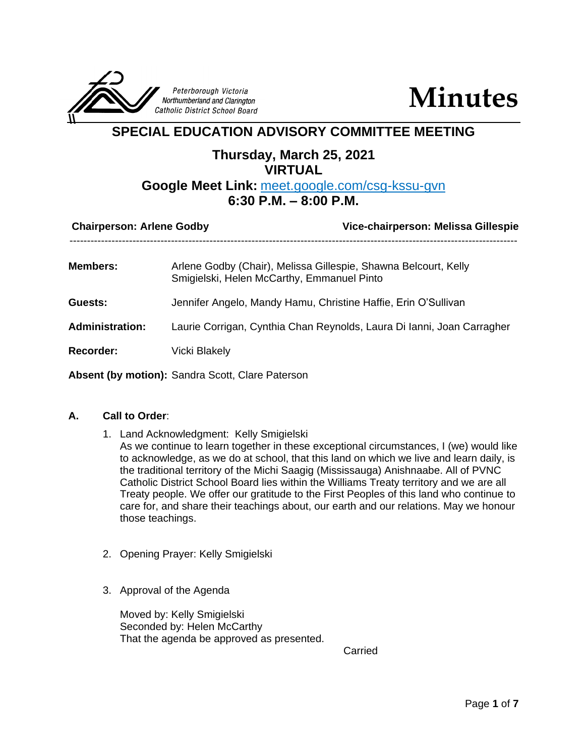

**Minutes**

# **SPECIAL EDUCATION ADVISORY COMMITTEE MEETING**

## **Thursday, March 25, 2021 VIRTUAL**

## **Google Meet Link:** meet.google.com/csg-kssu-gvn **6:30 P.M. – 8:00 P.M.**

| <b>Chairperson: Arlene Godby</b> | Vice-chairperson: Melissa Gillespie                                                                           |
|----------------------------------|---------------------------------------------------------------------------------------------------------------|
| <b>Members:</b>                  | Arlene Godby (Chair), Melissa Gillespie, Shawna Belcourt, Kelly<br>Smigielski, Helen McCarthy, Emmanuel Pinto |
| Guests:                          | Jennifer Angelo, Mandy Hamu, Christine Haffie, Erin O'Sullivan                                                |
| <b>Administration:</b>           | Laurie Corrigan, Cynthia Chan Reynolds, Laura Di Ianni, Joan Carragher                                        |
| Recorder:                        | <b>Vicki Blakely</b>                                                                                          |
|                                  | Absent (by motion): Sandra Scott, Clare Paterson                                                              |

### **A. Call to Order**:

- 1. Land Acknowledgment: Kelly Smigielski As we continue to learn together in these exceptional circumstances, I (we) would like to acknowledge, as we do at school, that this land on which we live and learn daily, is the traditional territory of the Michi Saagig (Mississauga) Anishnaabe. All of PVNC Catholic District School Board lies within the Williams Treaty territory and we are all Treaty people. We offer our gratitude to the First Peoples of this land who continue to care for, and share their teachings about, our earth and our relations. May we honour those teachings.
- 2. Opening Prayer: Kelly Smigielski
- 3. Approval of the Agenda

Moved by: Kelly Smigielski Seconded by: Helen McCarthy That the agenda be approved as presented.

Carried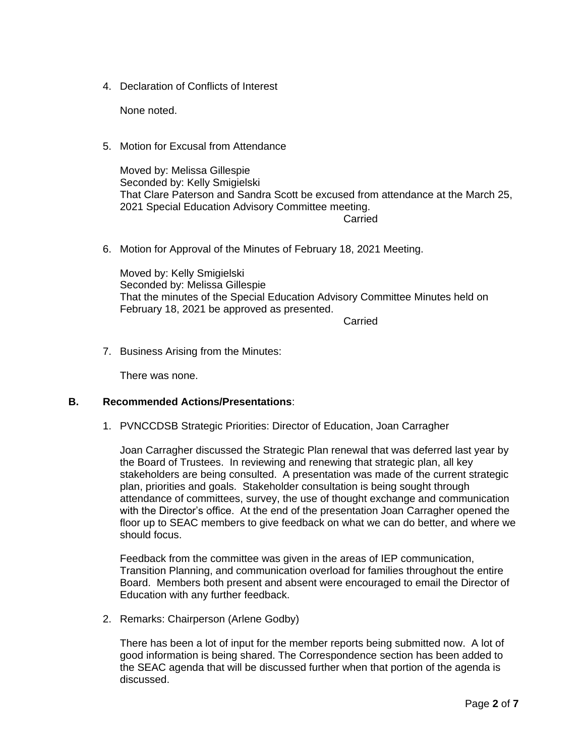4. Declaration of Conflicts of Interest

None noted.

5. Motion for Excusal from Attendance

Moved by: Melissa Gillespie Seconded by: Kelly Smigielski That Clare Paterson and Sandra Scott be excused from attendance at the March 25, 2021 Special Education Advisory Committee meeting.

Carried

6. Motion for Approval of the Minutes of February 18, 2021 Meeting.

Moved by: Kelly Smigielski Seconded by: Melissa Gillespie That the minutes of the Special Education Advisory Committee Minutes held on February 18, 2021 be approved as presented.

Carried

7. Business Arising from the Minutes:

There was none.

#### **B. Recommended Actions/Presentations**:

1. PVNCCDSB Strategic Priorities: Director of Education, Joan Carragher

Joan Carragher discussed the Strategic Plan renewal that was deferred last year by the Board of Trustees. In reviewing and renewing that strategic plan, all key stakeholders are being consulted. A presentation was made of the current strategic plan, priorities and goals. Stakeholder consultation is being sought through attendance of committees, survey, the use of thought exchange and communication with the Director's office. At the end of the presentation Joan Carragher opened the floor up to SEAC members to give feedback on what we can do better, and where we should focus.

Feedback from the committee was given in the areas of IEP communication, Transition Planning, and communication overload for families throughout the entire Board. Members both present and absent were encouraged to email the Director of Education with any further feedback.

2. Remarks: Chairperson (Arlene Godby)

There has been a lot of input for the member reports being submitted now. A lot of good information is being shared. The Correspondence section has been added to the SEAC agenda that will be discussed further when that portion of the agenda is discussed.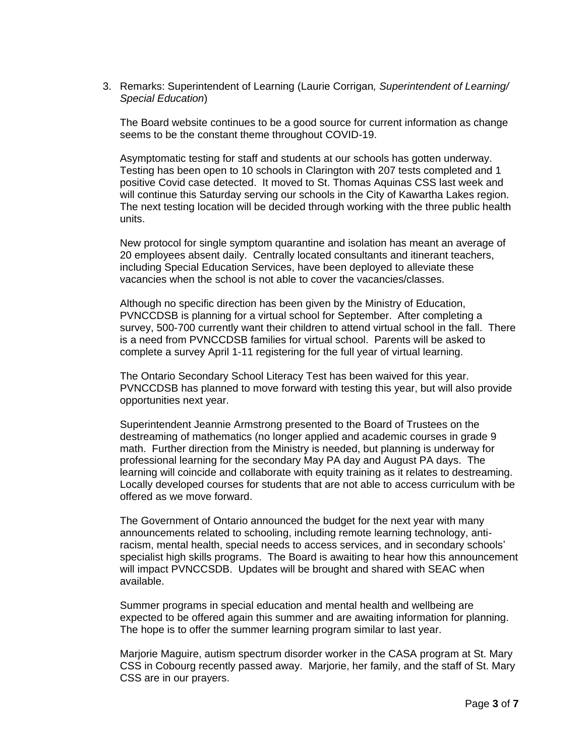3. Remarks: Superintendent of Learning (Laurie Corrigan*, Superintendent of Learning/ Special Education*)

The Board website continues to be a good source for current information as change seems to be the constant theme throughout COVID-19.

Asymptomatic testing for staff and students at our schools has gotten underway. Testing has been open to 10 schools in Clarington with 207 tests completed and 1 positive Covid case detected. It moved to St. Thomas Aquinas CSS last week and will continue this Saturday serving our schools in the City of Kawartha Lakes region. The next testing location will be decided through working with the three public health units.

New protocol for single symptom quarantine and isolation has meant an average of 20 employees absent daily. Centrally located consultants and itinerant teachers, including Special Education Services, have been deployed to alleviate these vacancies when the school is not able to cover the vacancies/classes.

Although no specific direction has been given by the Ministry of Education, PVNCCDSB is planning for a virtual school for September. After completing a survey, 500-700 currently want their children to attend virtual school in the fall. There is a need from PVNCCDSB families for virtual school. Parents will be asked to complete a survey April 1-11 registering for the full year of virtual learning.

The Ontario Secondary School Literacy Test has been waived for this year. PVNCCDSB has planned to move forward with testing this year, but will also provide opportunities next year.

Superintendent Jeannie Armstrong presented to the Board of Trustees on the destreaming of mathematics (no longer applied and academic courses in grade 9 math. Further direction from the Ministry is needed, but planning is underway for professional learning for the secondary May PA day and August PA days. The learning will coincide and collaborate with equity training as it relates to destreaming. Locally developed courses for students that are not able to access curriculum with be offered as we move forward.

The Government of Ontario announced the budget for the next year with many announcements related to schooling, including remote learning technology, antiracism, mental health, special needs to access services, and in secondary schools' specialist high skills programs. The Board is awaiting to hear how this announcement will impact PVNCCSDB. Updates will be brought and shared with SEAC when available.

Summer programs in special education and mental health and wellbeing are expected to be offered again this summer and are awaiting information for planning. The hope is to offer the summer learning program similar to last year.

Marjorie Maguire, autism spectrum disorder worker in the CASA program at St. Mary CSS in Cobourg recently passed away. Marjorie, her family, and the staff of St. Mary CSS are in our prayers.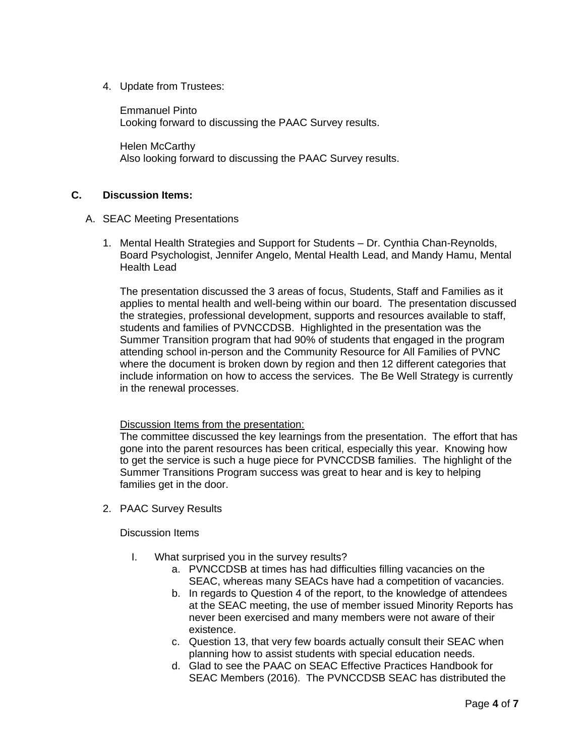4. Update from Trustees:

Emmanuel Pinto Looking forward to discussing the PAAC Survey results.

Helen McCarthy Also looking forward to discussing the PAAC Survey results.

### **C. Discussion Items:**

#### A. SEAC Meeting Presentations

1. Mental Health Strategies and Support for Students – Dr. Cynthia Chan-Reynolds, Board Psychologist, Jennifer Angelo, Mental Health Lead, and Mandy Hamu, Mental Health Lead

The presentation discussed the 3 areas of focus, Students, Staff and Families as it applies to mental health and well-being within our board. The presentation discussed the strategies, professional development, supports and resources available to staff, students and families of PVNCCDSB. Highlighted in the presentation was the Summer Transition program that had 90% of students that engaged in the program attending school in-person and the Community Resource for All Families of PVNC where the document is broken down by region and then 12 different categories that include information on how to access the services. The Be Well Strategy is currently in the renewal processes.

#### Discussion Items from the presentation:

The committee discussed the key learnings from the presentation. The effort that has gone into the parent resources has been critical, especially this year. Knowing how to get the service is such a huge piece for PVNCCDSB families. The highlight of the Summer Transitions Program success was great to hear and is key to helping families get in the door.

2. PAAC Survey Results

Discussion Items

- I. What surprised you in the survey results?
	- a. PVNCCDSB at times has had difficulties filling vacancies on the SEAC, whereas many SEACs have had a competition of vacancies.
	- b. In regards to Question 4 of the report, to the knowledge of attendees at the SEAC meeting, the use of member issued Minority Reports has never been exercised and many members were not aware of their existence.
	- c. Question 13, that very few boards actually consult their SEAC when planning how to assist students with special education needs.
	- d. Glad to see the PAAC on SEAC Effective Practices Handbook for SEAC Members (2016). The PVNCCDSB SEAC has distributed the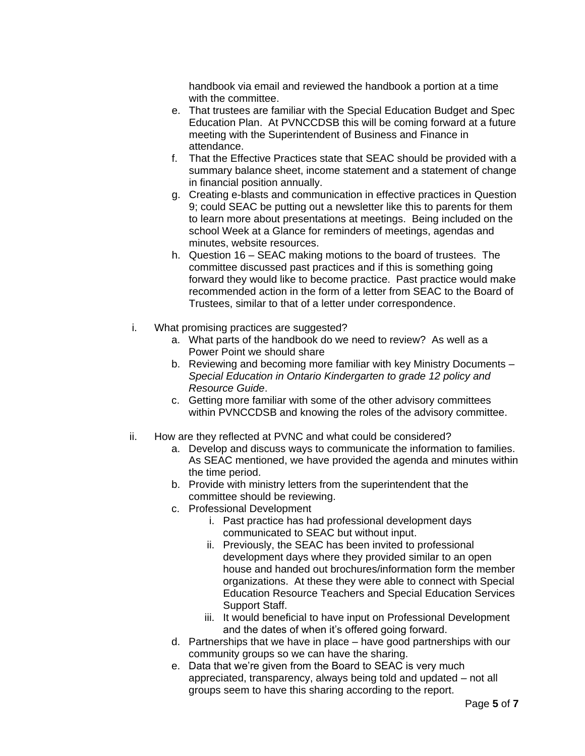handbook via email and reviewed the handbook a portion at a time with the committee.

- e. That trustees are familiar with the Special Education Budget and Spec Education Plan. At PVNCCDSB this will be coming forward at a future meeting with the Superintendent of Business and Finance in attendance.
- f. That the Effective Practices state that SEAC should be provided with a summary balance sheet, income statement and a statement of change in financial position annually.
- g. Creating e-blasts and communication in effective practices in Question 9; could SEAC be putting out a newsletter like this to parents for them to learn more about presentations at meetings. Being included on the school Week at a Glance for reminders of meetings, agendas and minutes, website resources.
- h. Question 16 SEAC making motions to the board of trustees. The committee discussed past practices and if this is something going forward they would like to become practice. Past practice would make recommended action in the form of a letter from SEAC to the Board of Trustees, similar to that of a letter under correspondence.
- i. What promising practices are suggested?
	- a. What parts of the handbook do we need to review? As well as a Power Point we should share
	- b. Reviewing and becoming more familiar with key Ministry Documents *Special Education in Ontario Kindergarten to grade 12 policy and Resource Guide*.
	- c. Getting more familiar with some of the other advisory committees within PVNCCDSB and knowing the roles of the advisory committee.
- ii. How are they reflected at PVNC and what could be considered?
	- a. Develop and discuss ways to communicate the information to families. As SEAC mentioned, we have provided the agenda and minutes within the time period.
	- b. Provide with ministry letters from the superintendent that the committee should be reviewing.
	- c. Professional Development
		- i. Past practice has had professional development days communicated to SEAC but without input.
		- ii. Previously, the SEAC has been invited to professional development days where they provided similar to an open house and handed out brochures/information form the member organizations. At these they were able to connect with Special Education Resource Teachers and Special Education Services Support Staff.
		- iii. It would beneficial to have input on Professional Development and the dates of when it's offered going forward.
	- d. Partnerships that we have in place have good partnerships with our community groups so we can have the sharing.
	- e. Data that we're given from the Board to SEAC is very much appreciated, transparency, always being told and updated – not all groups seem to have this sharing according to the report.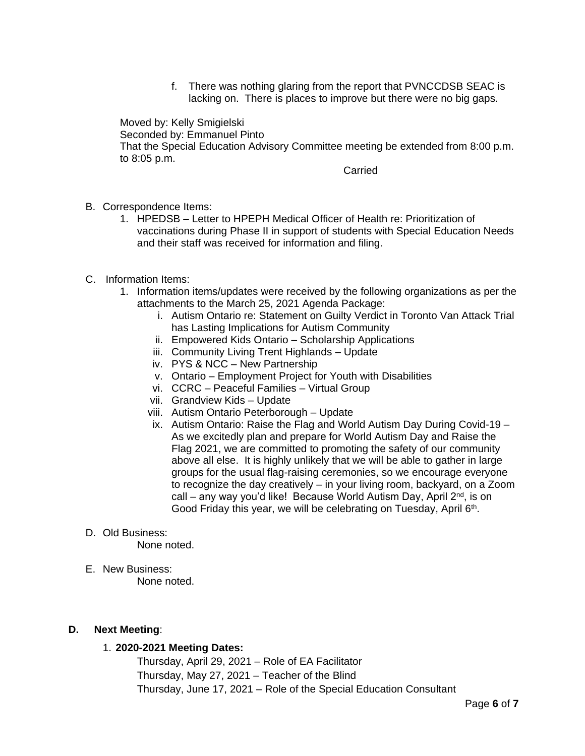f. There was nothing glaring from the report that PVNCCDSB SEAC is lacking on. There is places to improve but there were no big gaps.

Moved by: Kelly Smigielski Seconded by: Emmanuel Pinto That the Special Education Advisory Committee meeting be extended from 8:00 p.m. to 8:05 p.m.

Carried

- B. Correspondence Items:
	- 1. HPEDSB Letter to HPEPH Medical Officer of Health re: Prioritization of vaccinations during Phase II in support of students with Special Education Needs and their staff was received for information and filing.
- C. Information Items:
	- 1. Information items/updates were received by the following organizations as per the attachments to the March 25, 2021 Agenda Package:
		- i. Autism Ontario re: Statement on Guilty Verdict in Toronto Van Attack Trial has Lasting Implications for Autism Community
		- ii. Empowered Kids Ontario Scholarship Applications
		- iii. Community Living Trent Highlands Update
		- iv. PYS & NCC New Partnership
		- v. Ontario Employment Project for Youth with Disabilities
		- vi. CCRC Peaceful Families Virtual Group
		- vii. Grandview Kids Update
		- viii. Autism Ontario Peterborough Update
		- ix. Autism Ontario: Raise the Flag and World Autism Day During Covid-19 As we excitedly plan and prepare for World Autism Day and Raise the Flag 2021, we are committed to promoting the safety of our community above all else. It is highly unlikely that we will be able to gather in large groups for the usual flag-raising ceremonies, so we encourage everyone to recognize the day creatively – in your living room, backyard, on a Zoom call – any way you'd like! Because World Autism Day, April  $2^{nd}$ , is on Good Friday this year, we will be celebrating on Tuesday, April 6<sup>th</sup>.
- D. Old Business:

None noted.

E. New Business: None noted.

#### **D. Next Meeting**:

#### 1. **2020-2021 Meeting Dates:**

Thursday, April 29, 2021 – Role of EA Facilitator Thursday, May 27, 2021 – Teacher of the Blind Thursday, June 17, 2021 – Role of the Special Education Consultant